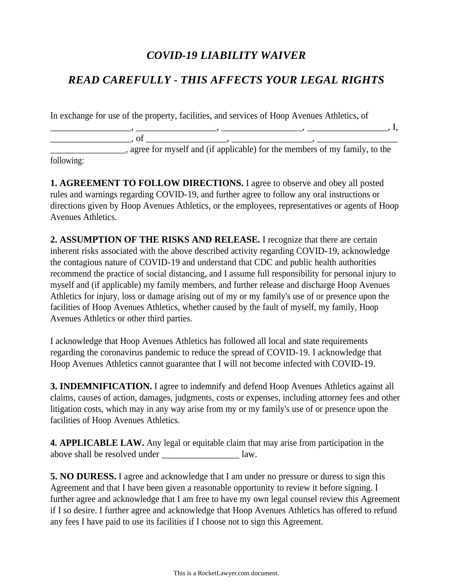## *COVID-19 LIABILITY WAIVER*

## *READ CAREFULLY - THIS AFFECTS YOUR LEGAL RIGHTS*

In exchange for use of the property, facilities, and services of Hoop Avenues Athletics, of

\_\_\_\_\_\_\_\_\_\_\_\_\_\_\_\_\_, \_\_\_\_\_\_\_\_\_\_\_\_\_\_\_\_\_, \_\_\_\_\_\_\_\_\_\_\_\_\_\_\_\_\_, \_\_\_\_\_\_\_\_\_\_\_\_\_\_\_\_\_, I,  $\longrightarrow$  of  $\longrightarrow$  , of  $\longrightarrow$  ,  $\longrightarrow$  ,  $\longrightarrow$  ,  $\longrightarrow$  ,  $\longrightarrow$  ,  $\longrightarrow$  ,  $\longrightarrow$  ,  $\longrightarrow$  ,  $\longrightarrow$  ,  $\longrightarrow$  ,  $\longrightarrow$  ,  $\longrightarrow$  ,  $\longrightarrow$  ,  $\longrightarrow$  ,  $\longrightarrow$  ,  $\longrightarrow$  ,  $\longrightarrow$  ,  $\longrightarrow$  ,  $\longrightarrow$  ,  $\longrightarrow$  ,  $\longrightarrow$  ,  $\longrightarrow$  ,  $\longrightarrow$  ,  $\longrightarrow$  ,  $\longrightarrow$  ,  $\longrightarrow$  ,  $\longrightarrow$  ,  $\longrightarrow$  ,  $\longrightarrow$  , agree for myself and (if applicable) for the members of my family, to the following:

**1. AGREEMENT TO FOLLOW DIRECTIONS.** I agree to observe and obey all posted rules and warnings regarding COVID-19, and further agree to follow any oral instructions or directions given by Hoop Avenues Athletics, or the employees, representatives or agents of Hoop Avenues Athletics.

**2. ASSUMPTION OF THE RISKS AND RELEASE.** I recognize that there are certain inherent risks associated with the above described activity regarding COVID-19, acknowledge the contagious nature of COVID-19 and understand that CDC and public health authorities recommend the practice of social distancing, and I assume full responsibility for personal injury to myself and (if applicable) my family members, and further release and discharge Hoop Avenues Athletics for injury, loss or damage arising out of my or my family's use of or presence upon the facilities of Hoop Avenues Athletics, whether caused by the fault of myself, my family, Hoop Avenues Athletics or other third parties.

I acknowledge that Hoop Avenues Athletics has followed all local and state requirements regarding the coronavirus pandemic to reduce the spread of COVID-19. I acknowledge that Hoop Avenues Athletics cannot guarantee that I will not become infected with COVID-19.

**3. INDEMNIFICATION.** I agree to indemnify and defend Hoop Avenues Athletics against all claims, causes of action, damages, judgments, costs or expenses, including attorney fees and other litigation costs, which may in any way arise from my or my family's use of or presence upon the facilities of Hoop Avenues Athletics.

**4. APPLICABLE LAW.** Any legal or equitable claim that may arise from participation in the above shall be resolved under \_\_\_\_\_\_\_\_\_\_\_\_\_\_\_\_\_ law.

**5. NO DURESS.** I agree and acknowledge that I am under no pressure or duress to sign this Agreement and that I have been given a reasonable opportunity to review it before signing. I further agree and acknowledge that I am free to have my own legal counsel review this Agreement if I so desire. I further agree and acknowledge that Hoop Avenues Athletics has offered to refund any fees I have paid to use its facilities if I choose not to sign this Agreement.